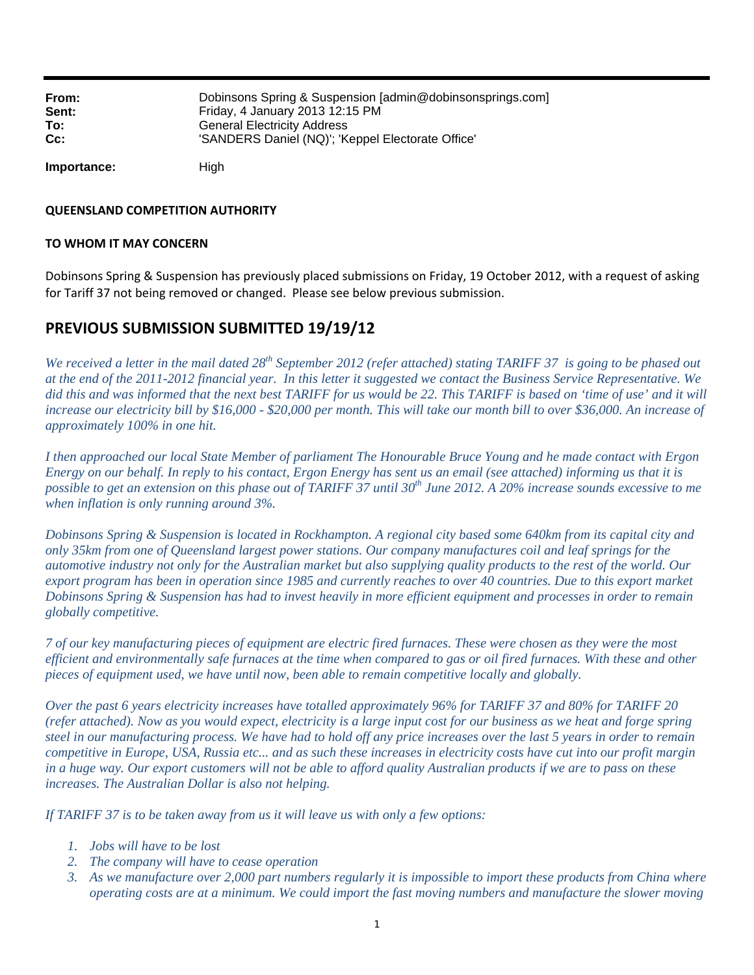| From:       | Dobinsons Spring & Suspension [admin@dobinsonsprings.com] |
|-------------|-----------------------------------------------------------|
| Sent:       | Friday, 4 January 2013 12:15 PM                           |
| To:         | <b>General Electricity Address</b>                        |
| $Cc$ :      | 'SANDERS Daniel (NQ)'; 'Keppel Electorate Office'         |
| Importance: | Hiah                                                      |

**QUEENSLAND COMPETITION AUTHORITY**

### **TO WHOM IT MAY CONCERN**

Dobinsons Spring & Suspension has previously placed submissions on Friday, 19 October 2012, with a request of asking for Tariff 37 not being removed or changed. Please see below previous submission.

## **PREVIOUS SUBMISSION SUBMITTED 19/19/12**

*We received a letter in the mail dated 28th September 2012 (refer attached) stating TARIFF 37 is going to be phased out at the end of the 2011-2012 financial year. In this letter it suggested we contact the Business Service Representative. We did this and was informed that the next best TARIFF for us would be 22. This TARIFF is based on 'time of use' and it will increase our electricity bill by \$16,000 - \$20,000 per month. This will take our month bill to over \$36,000. An increase of approximately 100% in one hit.* 

*I then approached our local State Member of parliament The Honourable Bruce Young and he made contact with Ergon Energy on our behalf. In reply to his contact, Ergon Energy has sent us an email (see attached) informing us that it is*  possible to get an extension on this phase out of TARIFF 37 until 30<sup>th</sup> June 2012. A 20% increase sounds excessive to me *when inflation is only running around 3%.* 

*Dobinsons Spring & Suspension is located in Rockhampton. A regional city based some 640km from its capital city and only 35km from one of Queensland largest power stations. Our company manufactures coil and leaf springs for the automotive industry not only for the Australian market but also supplying quality products to the rest of the world. Our export program has been in operation since 1985 and currently reaches to over 40 countries. Due to this export market Dobinsons Spring & Suspension has had to invest heavily in more efficient equipment and processes in order to remain globally competitive.* 

*7 of our key manufacturing pieces of equipment are electric fired furnaces. These were chosen as they were the most efficient and environmentally safe furnaces at the time when compared to gas or oil fired furnaces. With these and other pieces of equipment used, we have until now, been able to remain competitive locally and globally.* 

*Over the past 6 years electricity increases have totalled approximately 96% for TARIFF 37 and 80% for TARIFF 20 (refer attached). Now as you would expect, electricity is a large input cost for our business as we heat and forge spring steel in our manufacturing process. We have had to hold off any price increases over the last 5 years in order to remain competitive in Europe, USA, Russia etc... and as such these increases in electricity costs have cut into our profit margin in a huge way. Our export customers will not be able to afford quality Australian products if we are to pass on these increases. The Australian Dollar is also not helping.* 

*If TARIFF 37 is to be taken away from us it will leave us with only a few options:* 

- *1. Jobs will have to be lost*
- *2. The company will have to cease operation*
- *3. As we manufacture over 2,000 part numbers regularly it is impossible to import these products from China where operating costs are at a minimum. We could import the fast moving numbers and manufacture the slower moving*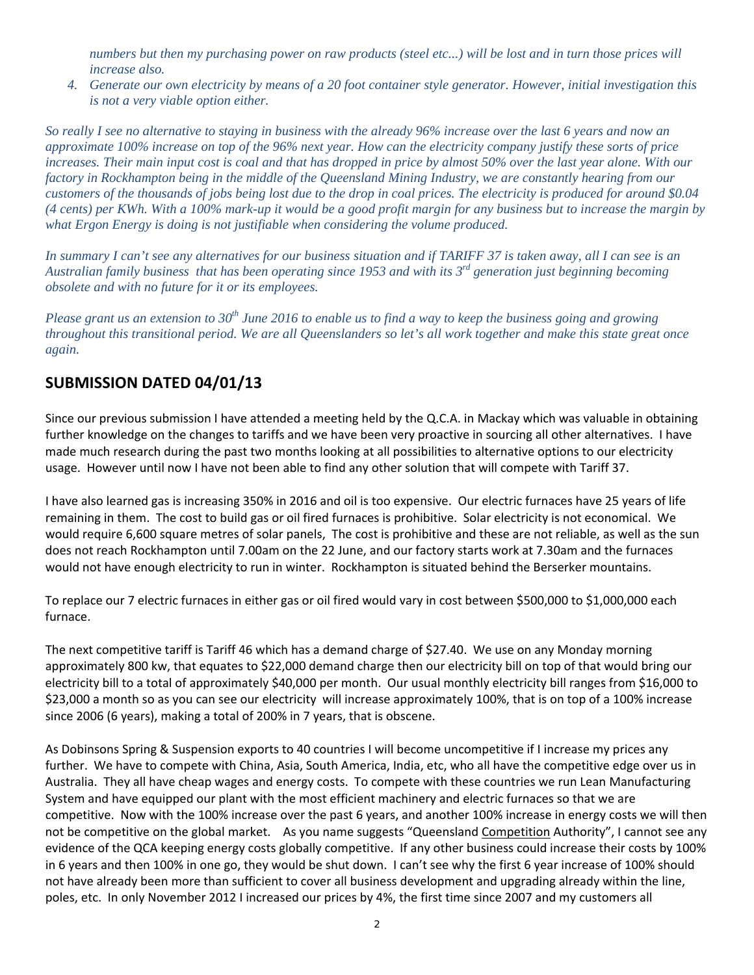*numbers but then my purchasing power on raw products (steel etc...) will be lost and in turn those prices will increase also.* 

*4. Generate our own electricity by means of a 20 foot container style generator. However, initial investigation this is not a very viable option either.* 

*So really I see no alternative to staying in business with the already 96% increase over the last 6 years and now an approximate 100% increase on top of the 96% next year. How can the electricity company justify these sorts of price increases. Their main input cost is coal and that has dropped in price by almost 50% over the last year alone. With our factory in Rockhampton being in the middle of the Queensland Mining Industry, we are constantly hearing from our customers of the thousands of jobs being lost due to the drop in coal prices. The electricity is produced for around \$0.04 (4 cents) per KWh. With a 100% mark-up it would be a good profit margin for any business but to increase the margin by what Ergon Energy is doing is not justifiable when considering the volume produced.* 

*In summary I can't see any alternatives for our business situation and if TARIFF 37 is taken away, all I can see is an Australian family business that has been operating since 1953 and with its 3rd generation just beginning becoming obsolete and with no future for it or its employees.* 

*Please grant us an extension to 30th June 2016 to enable us to find a way to keep the business going and growing throughout this transitional period. We are all Queenslanders so let's all work together and make this state great once again.* 

# **SUBMISSION DATED 04/01/13**

Since our previous submission I have attended a meeting held by the Q.C.A. in Mackay which was valuable in obtaining further knowledge on the changes to tariffs and we have been very proactive in sourcing all other alternatives. I have made much research during the past two months looking at all possibilities to alternative options to our electricity usage. However until now I have not been able to find any other solution that will compete with Tariff 37.

I have also learned gas is increasing 350% in 2016 and oil is too expensive. Our electric furnaces have 25 years of life remaining in them. The cost to build gas or oil fired furnaces is prohibitive. Solar electricity is not economical. We would require 6,600 square metres of solar panels, The cost is prohibitive and these are not reliable, as well as the sun does not reach Rockhampton until 7.00am on the 22 June, and our factory starts work at 7.30am and the furnaces would not have enough electricity to run in winter. Rockhampton is situated behind the Berserker mountains.

To replace our 7 electric furnaces in either gas or oil fired would vary in cost between \$500,000 to \$1,000,000 each furnace.

The next competitive tariff is Tariff 46 which has a demand charge of \$27.40. We use on any Monday morning approximately 800 kw, that equates to \$22,000 demand charge then our electricity bill on top of that would bring our electricity bill to a total of approximately \$40,000 per month. Our usual monthly electricity bill ranges from \$16,000 to \$23,000 a month so as you can see our electricity will increase approximately 100%, that is on top of a 100% increase since 2006 (6 years), making a total of 200% in 7 years, that is obscene.

As Dobinsons Spring & Suspension exports to 40 countries I will become uncompetitive if I increase my prices any further. We have to compete with China, Asia, South America, India, etc, who all have the competitive edge over us in Australia. They all have cheap wages and energy costs. To compete with these countries we run Lean Manufacturing System and have equipped our plant with the most efficient machinery and electric furnaces so that we are competitive. Now with the 100% increase over the past 6 years, and another 100% increase in energy costs we will then not be competitive on the global market. As you name suggests "Queensland Competition Authority", I cannot see any evidence of the QCA keeping energy costs globally competitive. If any other business could increase their costs by 100% in 6 years and then 100% in one go, they would be shut down. I can't see why the first 6 year increase of 100% should not have already been more than sufficient to cover all business development and upgrading already within the line, poles, etc. In only November 2012 I increased our prices by 4%, the first time since 2007 and my customers all